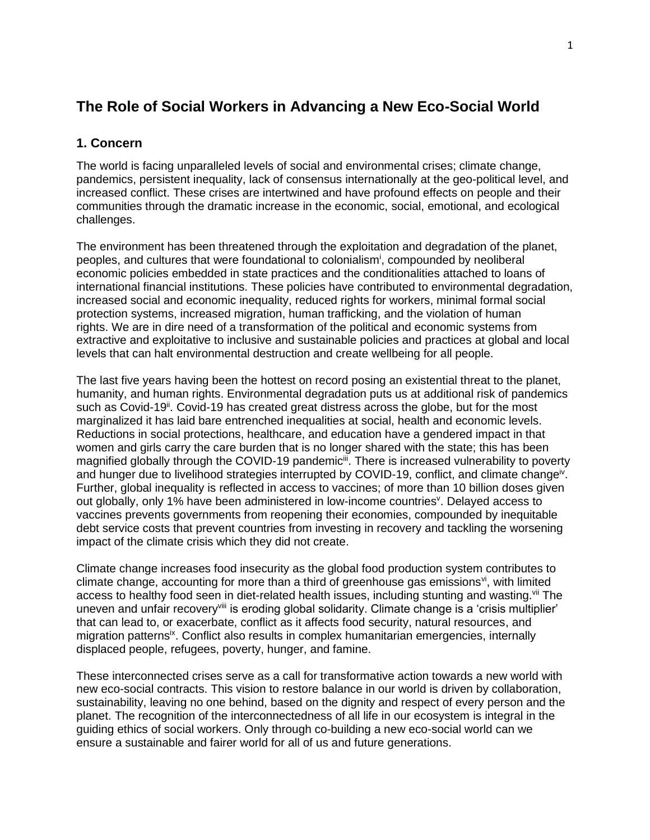# **The Role of Social Workers in Advancing a New Eco-Social World**

# **1. Concern**

The world is facing unparalleled levels of social and environmental crises; climate change, pandemics, persistent inequality, lack of consensus internationally at the geo-political level, and increased conflict. These crises are intertwined and have profound effects on people and their communities through the dramatic increase in the economic, social, emotional, and ecological challenges.

The environment has been threatened through the exploitation and degradation of the planet, peoples, and cultures that were foundational to colonialism<sup>i</sup>, compounded by neoliberal economic policies embedded in state practices and the conditionalities attached to loans of international financial institutions. These policies have contributed to environmental degradation, increased social and economic inequality, reduced rights for workers, minimal formal social protection systems, increased migration, human trafficking, and the violation of human rights. We are in dire need of a transformation of the political and economic systems from extractive and exploitative to inclusive and sustainable policies and practices at global and local levels that can halt environmental destruction and create wellbeing for all people.

The last five years having been the hottest on record posing an existential threat to the planet, humanity, and human rights. Environmental degradation puts us at additional risk of pandemics such as Covid-19<sup>ii</sup>. Covid-19 has created great distress across the globe, but for the most marginalized it has laid bare entrenched inequalities at social, health and economic levels. Reductions in social protections, healthcare, and education have a gendered impact in that women and girls carry the care burden that is no longer shared with the state; this has been magnified globally through the COVID-19 pandemic<sup>iii</sup>. There is increased vulnerability to poverty and hunger due to livelihood strategies interrupted by COVID-19, conflict, and climate change<sup>iv</sup>. Further, global inequality is reflected in access to vaccines; of more than 10 billion doses given out globally, only 1% have been administered in low-income countries<sup>v</sup>. Delayed access to vaccines prevents governments from reopening their economies, compounded by inequitable debt service costs that prevent countries from investing in recovery and tackling the worsening impact of the climate crisis which they did not create.

Climate change increases food insecurity as the global food production system contributes to climate change, accounting for more than a third of greenhouse gas emissions<sup>vi</sup>, with limited access to healthy food seen in diet-related health issues, including stunting and wasting. Vii The uneven and unfair recovery<sup>viii</sup> is eroding global solidarity. Climate change is a 'crisis multiplier' that can lead to, or exacerbate, conflict as it affects food security, natural resources, and migration patterns<sup>ix</sup>. Conflict also results in complex humanitarian emergencies, internally displaced people, refugees, poverty, hunger, and famine.

These interconnected crises serve as a call for transformative action towards a new world with new eco-social contracts. This vision to restore balance in our world is driven by collaboration, sustainability, leaving no one behind, based on the dignity and respect of every person and the planet. The recognition of the interconnectedness of all life in our ecosystem is integral in the guiding ethics of social workers. Only through co-building a new eco-social world can we ensure a sustainable and fairer world for all of us and future generations.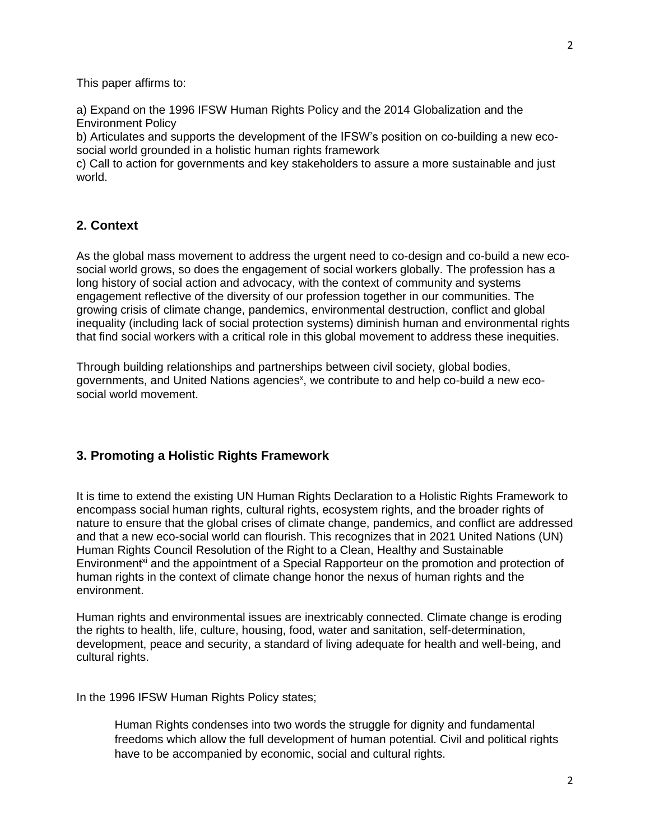This paper affirms to:

a) Expand on the 1996 IFSW Human Rights Policy and the 2014 Globalization and the Environment Policy

b) Articulates and supports the development of the IFSW's position on co-building a new ecosocial world grounded in a holistic human rights framework

c) Call to action for governments and key stakeholders to assure a more sustainable and just world.

## **2. Context**

As the global mass movement to address the urgent need to co-design and co-build a new ecosocial world grows, so does the engagement of social workers globally. The profession has a long history of social action and advocacy, with the context of community and systems engagement reflective of the diversity of our profession together in our communities. The growing crisis of climate change, pandemics, environmental destruction, conflict and global inequality (including lack of social protection systems) diminish human and environmental rights that find social workers with a critical role in this global movement to address these inequities.

Through building relationships and partnerships between civil society, global bodies, governments, and United Nations agencies<sup>x</sup>, we contribute to and help co-build a new ecosocial world movement.

## **3. Promoting a Holistic Rights Framework**

It is time to extend the existing UN Human Rights Declaration to a Holistic Rights Framework to encompass social human rights, cultural rights, ecosystem rights, and the broader rights of nature to ensure that the global crises of climate change, pandemics, and conflict are addressed and that a new eco-social world can flourish. This recognizes that in 2021 United Nations (UN) Human Rights Council Resolution of the Right to a Clean, Healthy and Sustainable Environment<sup>xi</sup> and the appointment of a Special Rapporteur on the promotion and protection of human rights in the context of climate change honor the nexus of human rights and the environment.

Human rights and environmental issues are inextricably connected. Climate change is eroding the rights to health, life, culture, housing, food, water and sanitation, self-determination, development, peace and security, a standard of living adequate for health and well-being, and cultural rights.

In the 1996 IFSW Human Rights Policy states;

Human Rights condenses into two words the struggle for dignity and fundamental freedoms which allow the full development of human potential. Civil and political rights have to be accompanied by economic, social and cultural rights.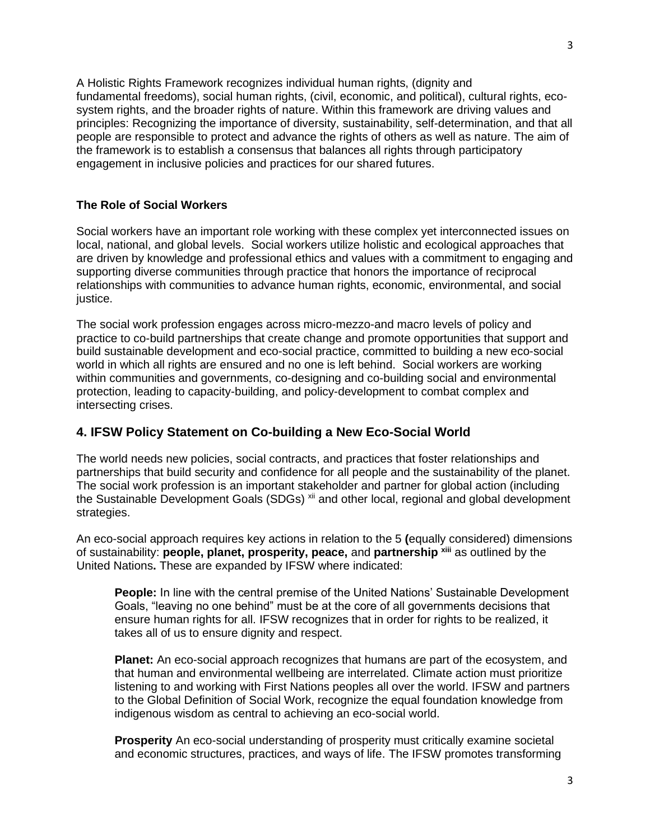A Holistic Rights Framework recognizes individual human rights, (dignity and fundamental freedoms), social human rights, (civil, economic, and political), cultural rights, ecosystem rights, and the broader rights of nature. Within this framework are driving values and principles: Recognizing the importance of diversity, sustainability, self-determination, and that all people are responsible to protect and advance the rights of others as well as nature. The aim of the framework is to establish a consensus that balances all rights through participatory engagement in inclusive policies and practices for our shared futures.

#### **The Role of Social Workers**

Social workers have an important role working with these complex yet interconnected issues on local, national, and global levels. Social workers utilize holistic and ecological approaches that are driven by knowledge and professional ethics and values with a commitment to engaging and supporting diverse communities through practice that honors the importance of reciprocal relationships with communities to advance human rights, economic, environmental, and social justice.

The social work profession engages across micro-mezzo-and macro levels of policy and practice to co-build partnerships that create change and promote opportunities that support and build sustainable development and eco-social practice, committed to building a new eco-social world in which all rights are ensured and no one is left behind. Social workers are working within communities and governments, co-designing and co-building social and environmental protection, leading to capacity-building, and policy-development to combat complex and intersecting crises.

## **4. IFSW Policy Statement on Co-building a New Eco-Social World**

The world needs new policies, social contracts, and practices that foster relationships and partnerships that build security and confidence for all people and the sustainability of the planet. The social work profession is an important stakeholder and partner for global action (including the Sustainable Development Goals (SDGs) <sup>xii</sup> and other local, regional and global development strategies.

An eco-social approach requires key actions in relation to the 5 **(**equally considered) dimensions of sustainability: **people, planet, prosperity, peace,** and **partnership xiii** as outlined by the United Nations**.** These are expanded by IFSW where indicated:

**People:** In line with the central premise of the United Nations' Sustainable Development Goals, "leaving no one behind" must be at the core of all governments decisions that ensure human rights for all. IFSW recognizes that in order for rights to be realized, it takes all of us to ensure dignity and respect.

**Planet:** An eco-social approach recognizes that humans are part of the ecosystem, and that human and environmental wellbeing are interrelated. Climate action must prioritize listening to and working with First Nations peoples all over the world. IFSW and partners to the Global Definition of Social Work, recognize the equal foundation knowledge from indigenous wisdom as central to achieving an eco-social world.

**Prosperity** An eco-social understanding of prosperity must critically examine societal and economic structures, practices, and ways of life. The IFSW promotes transforming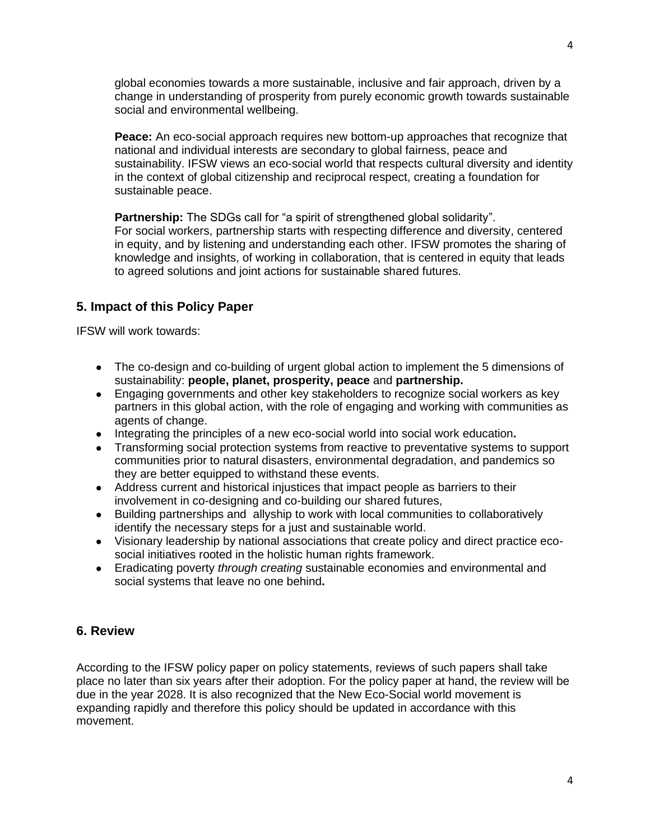global economies towards a more sustainable, inclusive and fair approach, driven by a change in understanding of prosperity from purely economic growth towards sustainable social and environmental wellbeing.

**Peace:** An eco-social approach requires new bottom-up approaches that recognize that national and individual interests are secondary to global fairness, peace and sustainability. IFSW views an eco-social world that respects cultural diversity and identity in the context of global citizenship and reciprocal respect, creating a foundation for sustainable peace.

**Partnership:** The SDGs call for "a spirit of strengthened global solidarity". For social workers, partnership starts with respecting difference and diversity, centered in equity, and by listening and understanding each other. IFSW promotes the sharing of knowledge and insights, of working in collaboration, that is centered in equity that leads to agreed solutions and joint actions for sustainable shared futures.

# **5. Impact of this Policy Paper**

IFSW will work towards:

- The co-design and co-building of urgent global action to implement the 5 dimensions of sustainability: **people, planet, prosperity, peace** and **partnership.**
- Engaging governments and other key stakeholders to recognize social workers as key partners in this global action, with the role of engaging and working with communities as agents of change.
- Integrating the principles of a new eco-social world into social work education**.**
- Transforming social protection systems from reactive to preventative systems to support communities prior to natural disasters, environmental degradation, and pandemics so they are better equipped to withstand these events.
- Address current and historical injustices that impact people as barriers to their involvement in co-designing and co-building our shared futures,
- Building partnerships and allyship to work with local communities to collaboratively identify the necessary steps for a just and sustainable world.
- Visionary leadership by national associations that create policy and direct practice ecosocial initiatives rooted in the holistic human rights framework.
- Eradicating poverty *through creating* sustainable economies and environmental and social systems that leave no one behind**.**

# **6. Review**

According to the IFSW policy paper on policy statements, reviews of such papers shall take place no later than six years after their adoption. For the policy paper at hand, the review will be due in the year 2028. It is also recognized that the New Eco-Social world movement is expanding rapidly and therefore this policy should be updated in accordance with this movement.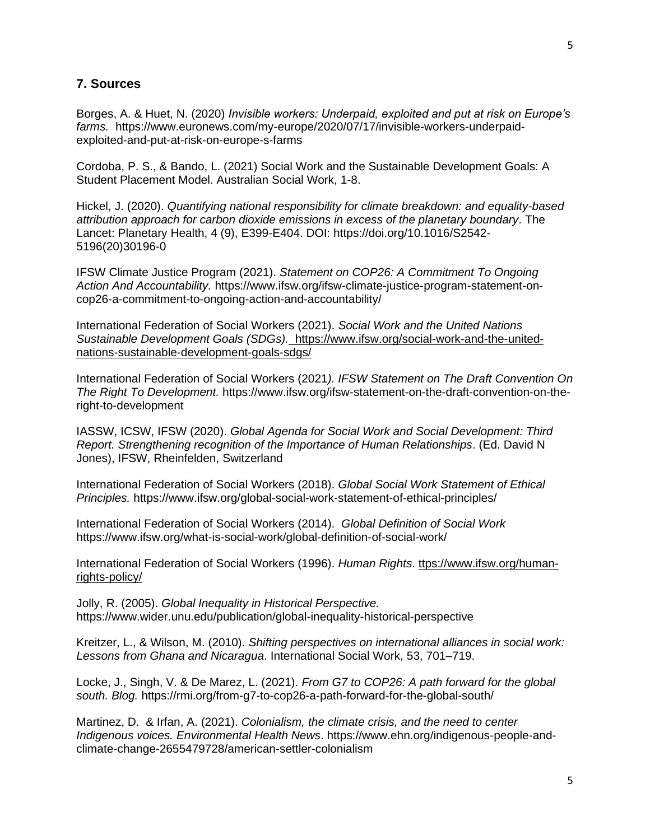#### **7. Sources**

Borges, A. & Huet, N. (2020) *Invisible workers: Underpaid, exploited and put at risk on Europe's farms.* https://www.euronews.com/my-europe/2020/07/17/invisible-workers-underpaidexploited-and-put-at-risk-on-europe-s-farms

Cordoba, P. S., & Bando, L. (2021) Social Work and the Sustainable Development Goals: A Student Placement Model. Australian Social Work, 1-8.

Hickel, J. (2020). *Quantifying national responsibility for climate breakdown: and equality-based attribution approach for carbon dioxide emissions in excess of the planetary boundary*. The Lancet: Planetary Health, 4 (9), E399-E404. DOI: https://doi.org/10.1016/S2542- 5196(20)30196-0

IFSW Climate Justice Program (2021). *Statement on COP26: A Commitment To Ongoing Action And Accountability.* https://www.ifsw.org/ifsw-climate-justice-program-statement-oncop26-a-commitment-to-ongoing-action-and-accountability/

International Federation of Social Workers (2021). *Social Work and the United Nations Sustainable Development Goals (SDGs)[.](https://www.ifsw.org/social-work-and-the-united-nations-sustainable-development-goals-sdgs/)* [https://www.ifsw.org/social-work-and-the-united](https://www.ifsw.org/social-work-and-the-united-nations-sustainable-development-goals-sdgs/)[nations-sustainable-development-goals-sdgs/](https://www.ifsw.org/social-work-and-the-united-nations-sustainable-development-goals-sdgs/)

International Federation of Social Workers (2021*). IFSW Statement on The Draft Convention On The Right To Development.* https://www.ifsw.org/ifsw-statement-on-the-draft-convention-on-theright-to-development

IASSW, ICSW, IFSW (2020). *Global Agenda for Social Work and Social Development: Third Report. Strengthening recognition of the Importance of Human Relationships*. (Ed. David N Jones), IFSW, Rheinfelden, Switzerland

International Federation of Social Workers (2018). *Global Social Work Statement of Ethical Principles.* https://www.ifsw.org/global-social-work-statement-of-ethical-principles/

International Federation of Social Workers (2014). *Global Definition of Social Work* https://www.ifsw.org/what-is-social-work/global-definition-of-social-work/

International Federation of Social Workers (1996). *Human Rights*. ttps://www.ifsw.org/humanrights-policy/

Jolly, R. (2005). *Global Inequality in Historical Perspective.* https://www.wider.unu.edu/publication/global-inequality-historical-perspective

Kreitzer, L., & Wilson, M. (2010). *Shifting perspectives on international alliances in social work: Lessons from Ghana and Nicaragua*. International Social Work, 53, 701–719.

Locke, J., Singh, V. & De Marez, L. (2021). *From G7 to COP26: A path forward for the global south. Blog.* https://rmi.org/from-g7-to-cop26-a-path-forward-for-the-global-south/

Martinez, D. & Irfan, A. (2021). *Colonialism, the climate crisis, and the need to center Indigenous voices. Environmental Health News*. https://www.ehn.org/indigenous-people-andclimate-change-2655479728/american-settler-colonialism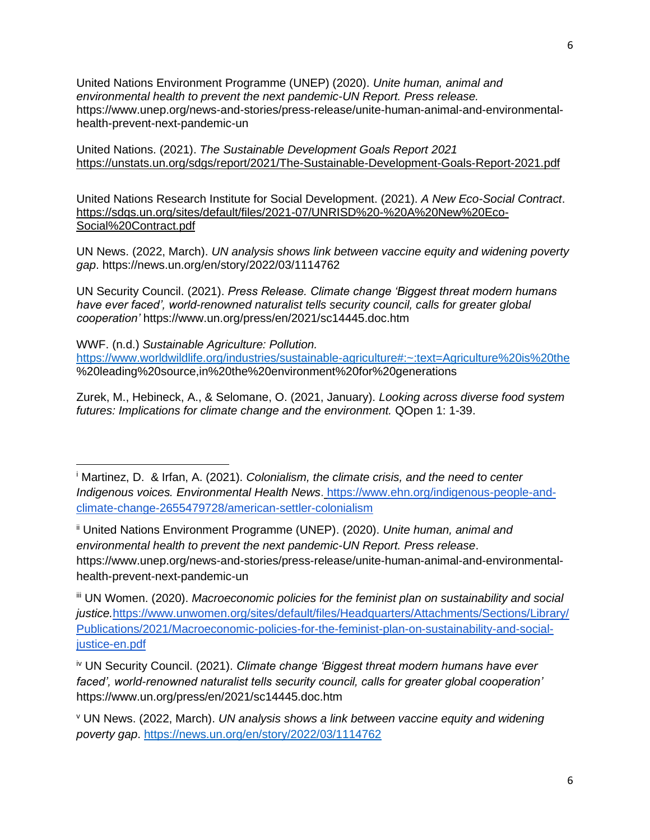United Nations Environment Programme (UNEP) (2020). *Unite human, animal and environmental health to prevent the next pandemic-UN Report. Press release.* https://www.unep.org/news-and-stories/press-release/unite-human-animal-and-environmentalhealth-prevent-next-pandemic-un

United Nations. (2021). *The Sustainable Development Goals Report 2021* <https://unstats.un.org/sdgs/report/2021/The-Sustainable-Development-Goals-Report-2021.pdf>

United Nations Research Institute for Social Development. (2021). *A New Eco-Social Contract*. [https://sdgs.un.org/sites/default/files/2021-07/UNRISD%20-%20A%20New%20Eco-](https://sdgs.un.org/sites/default/files/2021-07/UNRISD%20-%20A%20New%20Eco-Social%20Contract.pdf)[Social%20Contract.pdf](https://sdgs.un.org/sites/default/files/2021-07/UNRISD%20-%20A%20New%20Eco-Social%20Contract.pdf)

UN News. (2022, March). *UN analysis shows link between vaccine equity and widening poverty gap*. https://news.un.org/en/story/2022/03/1114762

UN Security Council. (2021). *Press Release. Climate change 'Biggest threat modern humans*  have ever faced', world-renowned naturalist tells security council, calls for greater global *cooperation'* https://www.un.org/press/en/2021/sc14445.doc.htm

WWF. (n.d.) *Sustainable Agriculture: Pollution.* <https://www.worldwildlife.org/industries/sustainable-agriculture#:~:text=Agriculture%20is%20the> %20leading%20source,in%20the%20environment%20for%20generations

Zurek, M., Hebineck, A., & Selomane, O. (2021, January). *Looking across diverse food system futures: Implications for climate change and the environment.* QOpen 1: 1-39.

iii UN Women. (2020). *Macroeconomic policies for the feminist plan on sustainability and social justice.*https://www.unwomen.org/sites/default/files/Headquarters/Attachments/Sections/Library/ Publications/2021/Macroeconomic-policies-for-the-feminist-plan-on-sustainability-and-socialjustice-en.pdf

iv UN Security Council. (2021). *Climate change 'Biggest threat modern humans have ever faced', world-renowned naturalist tells security council, calls for greater global cooperation'* https://www.un.org/press/en/2021/sc14445.doc.htm

<sup>v</sup> UN News. (2022, March). *UN analysis shows a link between vaccine equity and widening poverty gap*.<https://news.un.org/en/story/2022/03/1114762>

<sup>i</sup> Martinez, D. & Irfan, A. (2021). *Colonialism, the climate crisis, and the need to center Indigenous voices. Environmental Health News*[.](https://www.ehn.org/indigenous-people-and-climate-change-2655479728/american-settler-colonialism) https://www.ehn.org/indigenous-people-andclimate-change-2655479728/american-settler-colonialism

ii United Nations Environment Programme (UNEP). (2020). *Unite human, animal and environmental health to prevent the next pandemic-UN Report. Press release*. https://www.unep.org/news-and-stories/press-release/unite-human-animal-and-environmentalhealth-prevent-next-pandemic-un